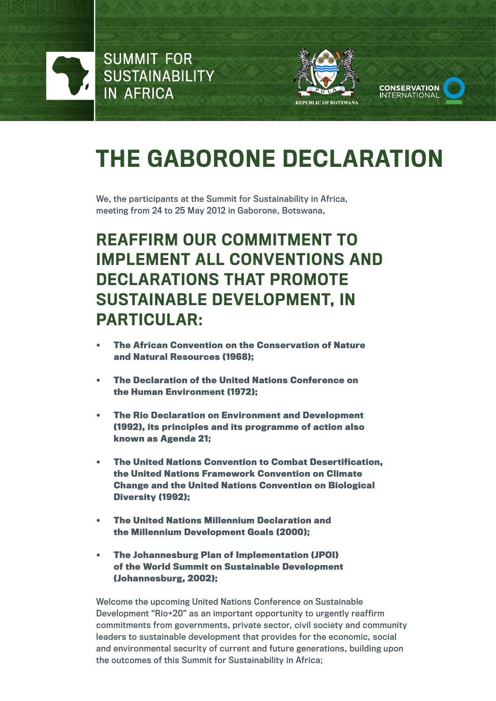

**SUMMIT FOR SUSTAINABILITY IN AFRICA** 





# The Gaborone Declaration

We, the participants at the Summit for Sustainability in Africa, meeting from 24 to 25 May 2012 in Gaborone, Botswana,

## Reaffirm our commitment to IMPI FMENT ALL CONVENTIONS AND declarations that promote Sustainable Development, in particular:

- **• The African Convention on the Conservation of Nature and Natural Resources (1968);**
- **• The Declaration of the United Nations Conference on the Human Environment (1972);**
- **• The Rio Declaration on Environment and Development (1992), its principles and its programme of action also known as Agenda 21;**
- **• The United Nations Convention to Combat Desertification, the United Nations Framework Convention on Climate Change and the United Nations Convention on Biological Diversity (1992);**
- **• The United Nations Millennium Declaration and the Millennium Development Goals (2000);**
- **• The Johannesburg Plan of Implementation (JPOI) of the World Summit on Sustainable Development (Johannesburg, 2002);**

Welcome the upcoming United Nations Conference on Sustainable Development "Rio+20" as an important opportunity to urgently reaffirm commitments from governments, private sector, civil society and community leaders to sustainable development that provides for the economic, social and environmental security of current and future generations, building upon the outcomes of this Summit for Sustainability in Africa;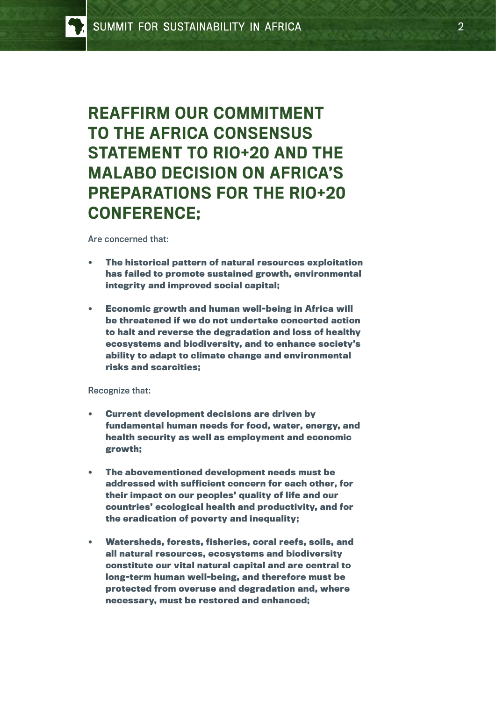Reaffirm our commitment to the Africa Consensus STATEMENT TO RIO+20 AND THE Malabo Decision on Africa's Preparations for the Rio+20 CONFERENCE:

Are concerned that:

- **• The historical pattern of natural resources exploitation has failed to promote sustained growth, environmental integrity and improved social capital;**
- **• Economic growth and human well-being in Africa will be threatened if we do not undertake concerted action to halt and reverse the degradation and loss of healthy ecosystems and biodiversity, and to enhance society's ability to adapt to climate change and environmental risks and scarcities;**

Recognize that:

- **• Current development decisions are driven by fundamental human needs for food, water, energy, and health security as well as employment and economic growth;**
- **• The abovementioned development needs must be addressed with sufficient concern for each other, for their impact on our peoples' quality of life and our countries' ecological health and productivity, and for the eradication of poverty and inequality;**
- **• Watersheds, forests, fisheries, coral reefs, soils, and all natural resources, ecosystems and biodiversity constitute our vital natural capital and are central to long-term human well-being, and therefore must be protected from overuse and degradation and, where necessary, must be restored and enhanced;**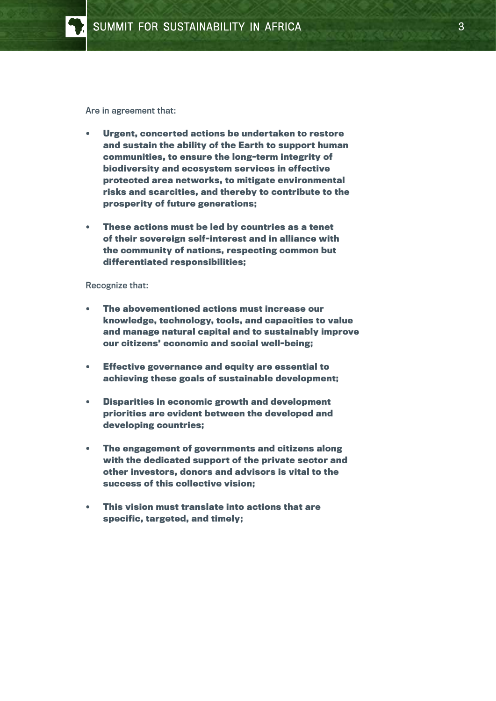

Are in agreement that:

- **• Urgent, concerted actions be undertaken to restore and sustain the ability of the Earth to support human communities, to ensure the long-term integrity of biodiversity and ecosystem services in effective protected area networks, to mitigate environmental risks and scarcities, and thereby to contribute to the prosperity of future generations;**
- **• These actions must be led by countries as a tenet of their sovereign self-interest and in alliance with the community of nations, respecting common but differentiated responsibilities;**

#### Recognize that:

- **• The abovementioned actions must increase our knowledge, technology, tools, and capacities to value and manage natural capital and to sustainably improve our citizens' economic and social well-being;**
- **• Effective governance and equity are essential to achieving these goals of sustainable development;**
- **• Disparities in economic growth and development priorities are evident between the developed and developing countries;**
- **• The engagement of governments and citizens along with the dedicated support of the private sector and other investors, donors and advisors is vital to the success of this collective vision;**
- **• This vision must translate into actions that are specific, targeted, and timely;**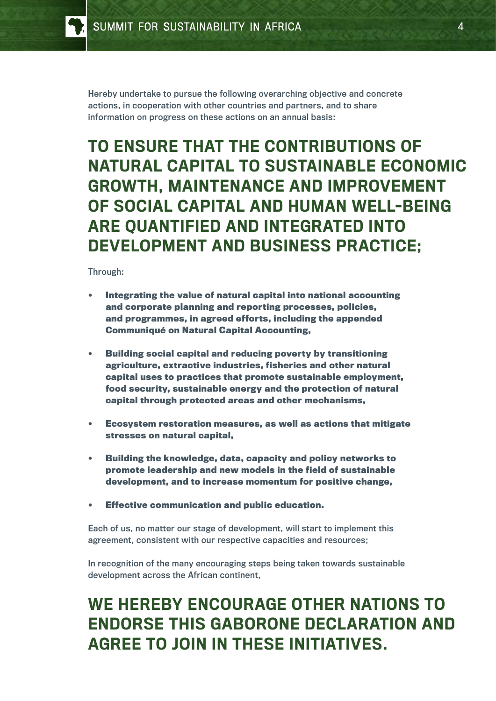Hereby undertake to pursue the following overarching objective and concrete actions, in cooperation with other countries and partners, and to share information on progress on these actions on an annual basis:

#### To ensure that the contributions of natural capital to sustainable economic growth, maintenance and improvement of social capital and human well-being are quantified and integrated into development and business practice;

Through:

- **• Integrating the value of natural capital into national accounting and corporate planning and reporting processes, policies, and programmes, in agreed efforts, including the appended Communiqué on Natural Capital Accounting,**
- **• Building social capital and reducing poverty by transitioning agriculture, extractive industries, fisheries and other natural capital uses to practices that promote sustainable employment, food security, sustainable energy and the protection of natural capital through protected areas and other mechanisms,**
- **• Ecosystem restoration measures, as well as actions that mitigate stresses on natural capital,**
- **• Building the knowledge, data, capacity and policy networks to promote leadership and new models in the field of sustainable development, and to increase momentum for positive change,**
- **Effective communication and public education.**

Each of us, no matter our stage of development, will start to implement this agreement, consistent with our respective capacities and resources;

In recognition of the many encouraging steps being taken towards sustainable development across the African continent,

## We hereby encourage other nations to endorse this Gaborone Declaration and agree to join in these initiatives.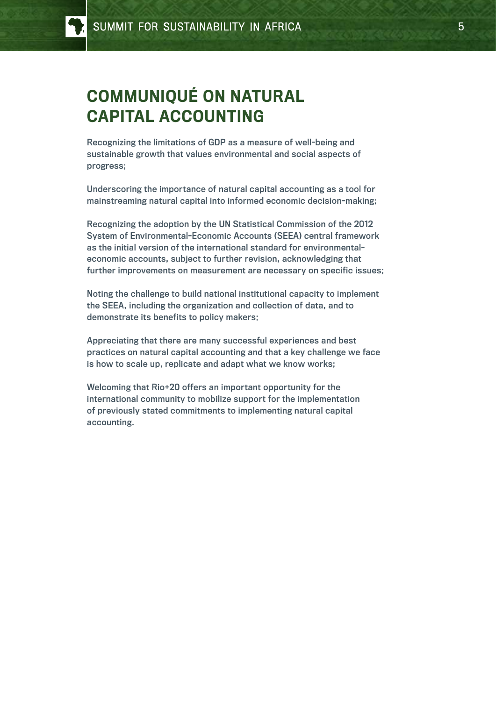## Communiqué on Natural Capital Accounting

Recognizing the limitations of GDP as a measure of well-being and sustainable growth that values environmental and social aspects of progress;

Underscoring the importance of natural capital accounting as a tool for mainstreaming natural capital into informed economic decision-making;

Recognizing the adoption by the UN Statistical Commission of the 2012 System of Environmental-Economic Accounts (SEEA) central framework as the initial version of the international standard for environmentaleconomic accounts, subject to further revision, acknowledging that further improvements on measurement are necessary on specific issues;

Noting the challenge to build national institutional capacity to implement the SEEA, including the organization and collection of data, and to demonstrate its benefits to policy makers;

Appreciating that there are many successful experiences and best practices on natural capital accounting and that a key challenge we face is how to scale up, replicate and adapt what we know works;

Welcoming that Rio+20 offers an important opportunity for the international community to mobilize support for the implementation of previously stated commitments to implementing natural capital accounting.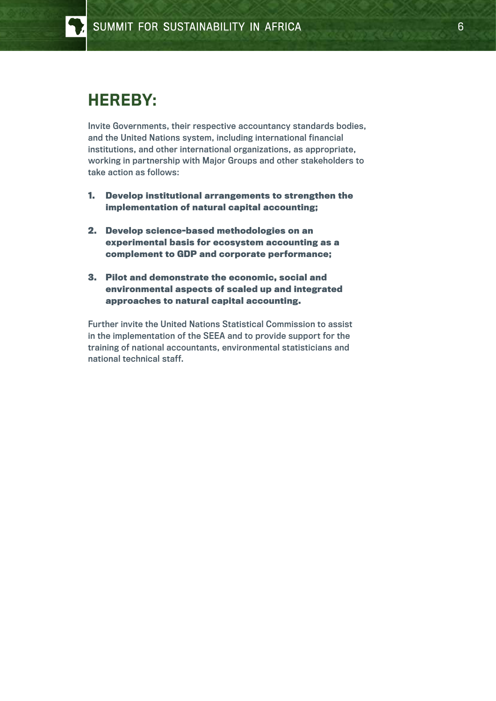#### Hereby:

Invite Governments, their respective accountancy standards bodies, and the United Nations system, including international financial institutions, and other international organizations, as appropriate, working in partnership with Major Groups and other stakeholders to take action as follows:

- **1. Develop institutional arrangements to strengthen the implementation of natural capital accounting;**
- **2. Develop science-based methodologies on an experimental basis for ecosystem accounting as a complement to GDP and corporate performance;**
- **3. Pilot and demonstrate the economic, social and environmental aspects of scaled up and integrated approaches to natural capital accounting.**

Further invite the United Nations Statistical Commission to assist in the implementation of the SEEA and to provide support for the training of national accountants, environmental statisticians and national technical staff.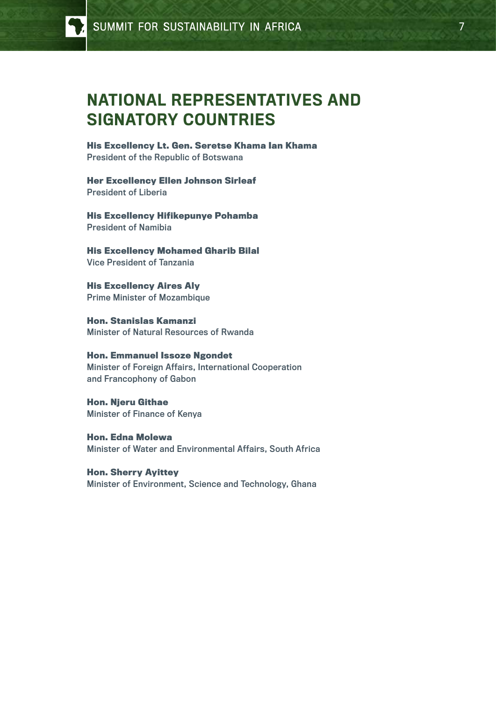#### National Representatives and Signatory Countries

**His Excellency Lt. Gen. Seretse Khama Ian Khama** President of the Republic of Botswana

**Her Excellency Ellen Johnson Sirleaf** President of Liberia

**His Excellency Hifikepunye Pohamba** President of Namibia

**His Excellency Mohamed Gharib Bilal** Vice President of Tanzania

**His Excellency Aires Aly** Prime Minister of Mozambique

**Hon. Stanislas Kamanzi** Minister of Natural Resources of Rwanda

**Hon. Emmanuel Issoze Ngondet** Minister of Foreign Affairs, International Cooperation and Francophony of Gabon

**Hon. Njeru Githae** Minister of Finance of Kenya

**Hon. Edna Molewa** Minister of Water and Environmental Affairs, South Africa

**Hon. Sherry Ayittey** Minister of Environment, Science and Technology, Ghana